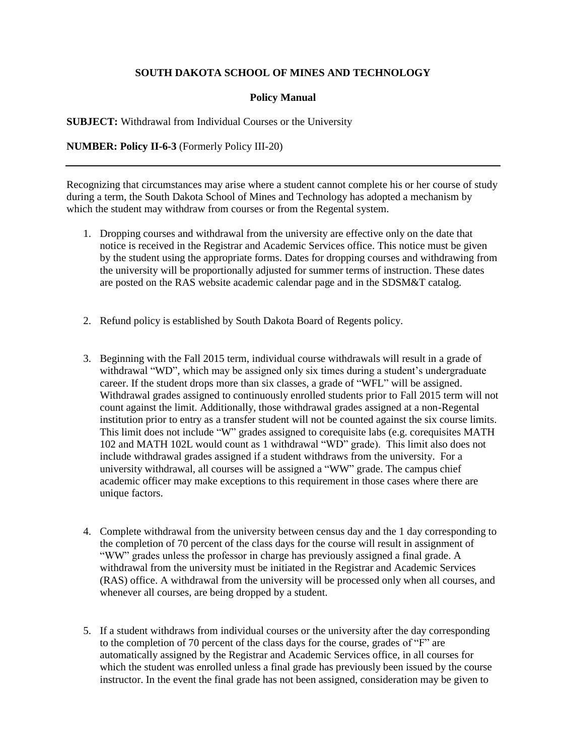## **SOUTH DAKOTA SCHOOL OF MINES AND TECHNOLOGY**

## **Policy Manual**

**SUBJECT:** Withdrawal from Individual Courses or the University

**NUMBER: Policy II-6-3** (Formerly Policy III-20)

Recognizing that circumstances may arise where a student cannot complete his or her course of study during a term, the South Dakota School of Mines and Technology has adopted a mechanism by which the student may withdraw from courses or from the Regental system.

- 1. Dropping courses and withdrawal from the university are effective only on the date that notice is received in the Registrar and Academic Services office. This notice must be given by the student using the appropriate forms. Dates for dropping courses and withdrawing from the university will be proportionally adjusted for summer terms of instruction. These dates are posted on the RAS website academic calendar page and in the SDSM&T catalog.
- 2. Refund policy is established by South Dakota Board of Regents policy.
- 3. Beginning with the Fall 2015 term, individual course withdrawals will result in a grade of withdrawal "WD", which may be assigned only six times during a student's undergraduate career. If the student drops more than six classes, a grade of "WFL" will be assigned. Withdrawal grades assigned to continuously enrolled students prior to Fall 2015 term will not count against the limit. Additionally, those withdrawal grades assigned at a non-Regental institution prior to entry as a transfer student will not be counted against the six course limits. This limit does not include "W" grades assigned to corequisite labs (e.g. corequisites MATH 102 and MATH 102L would count as 1 withdrawal "WD" grade). This limit also does not include withdrawal grades assigned if a student withdraws from the university. For a university withdrawal, all courses will be assigned a "WW" grade. The campus chief academic officer may make exceptions to this requirement in those cases where there are unique factors.
- 4. Complete withdrawal from the university between census day and the 1 day corresponding to the completion of 70 percent of the class days for the course will result in assignment of "WW" grades unless the professor in charge has previously assigned a final grade. A withdrawal from the university must be initiated in the Registrar and Academic Services (RAS) office. A withdrawal from the university will be processed only when all courses, and whenever all courses, are being dropped by a student.
- 5. If a student withdraws from individual courses or the university after the day corresponding to the completion of 70 percent of the class days for the course, grades of "F" are automatically assigned by the Registrar and Academic Services office, in all courses for which the student was enrolled unless a final grade has previously been issued by the course instructor. In the event the final grade has not been assigned, consideration may be given to